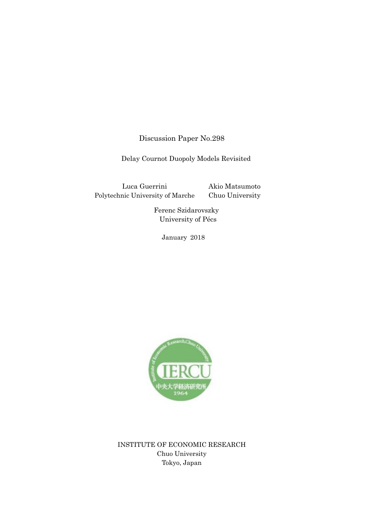Discussion Paper No.298

Delay Cournot Duopoly Models Revisited

Luca Guerrini Polytechnic University of Marche Akio Matsumoto Chuo University

> Ferenc Szidarovszky University of Pécs

> > January 2018



INSTITUTE OF ECONOMIC RESEARCH Chuo University Tokyo, Japan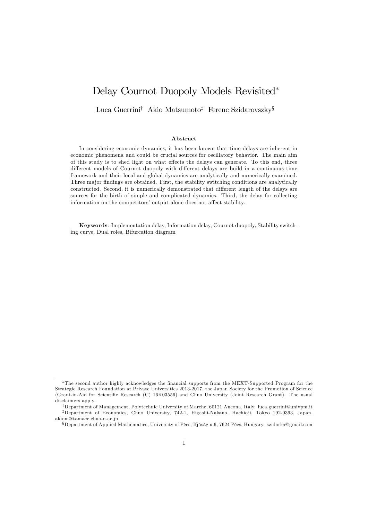# Delay Cournot Duopoly Models Revisited

Luca Guerrini<sup>†</sup> Akio Matsumoto<sup>‡</sup> Ferenc Szidarovszky<sup>§</sup>

#### Abstract

In considering economic dynamics, it has been known that time delays are inherent in economic phenomena and could be crucial sources for oscillatory behavior. The main aim of this study is to shed light on what effects the delays can generate. To this end, three different models of Cournot duopoly with different delays are build in a continuous time framework and their local and global dynamics are analytically and numerically examined. Three major findings are obtained. First, the stability switching conditions are analytically constructed. Second, it is numerically demonstrated that different length of the delays are sources for the birth of simple and complicated dynamics. Third, the delay for collecting information on the competitors' output alone does not affect stability.

Keywords: Implementation delay, Information delay, Cournot duopoly, Stability switching curve, Dual roles, Bifurcation diagram

The second author highly acknowledges the Önancial supports from the MEXT-Supported Program for the Strategic Research Foundation at Private Universities 2013-2017, the Japan Society for the Promotion of Science (Grant-in-Aid for Scientific Research (C) 16K03556) and Chuo University (Joint Research Grant). The usual disclaimers apply.

<sup>&</sup>lt;sup>†</sup>Department of Management, Polytechnic University of Marche, 60121 Ancona, Italy. luca.guerrini@univpm.it <sup>‡</sup>Department of Economics, Chuo University, 742-1, Higashi-Nakano, Hachioji, Tokyo 192-0393, Japan. akiom@tamacc.chuo-u.ac.jp

 $\S$ Department of Applied Mathematics, University of Pécs, Ifjúság u 6, 7624 Pécs, Hungary. szidarka@gmail.com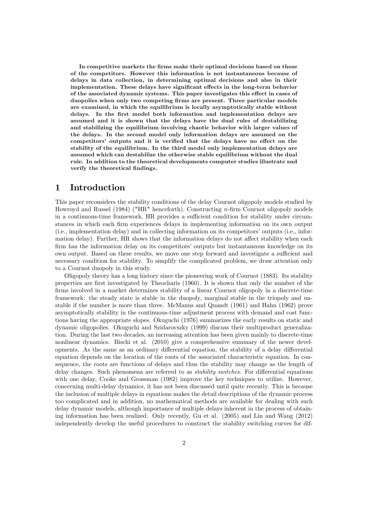In competitive markets the firms make their optimal decisions based on those of the competitors. However this information is not instantaneous because of delays in data collection, in determining optimal decisions and also in their implementation. These delays have significant effects in the long-term behavior of the associated dynamic systems. This paper investigates this effect in cases of duopolies when only two competing firms are present. Three particular models are examined, in which the equilibrium is locally asymptotically stable without delays. In the first model both information and implementation delays are assumed and it is shown that the delays have the dual rules of destabilizing and stabilizing the equilibrium involving chaotic behavior with larger values of the delays. In the second model only information delays are assumed on the competitors' outputs and it is verified that the delays have no effect on the stability of the equilibrium. In the third model only implementation delays are assumed which can destabilize the otherwise stable equilibrium without the dual rule. In addition to the theoretical developments computer studies illustrate and verify the theoretical findings.

### 1 Introduction

This paper reconsiders the stability conditions of the delay Cournot oligopoly models studied by Howroyd and Russel  $(1984)$  ("HR" henceforth). Constructing *n*-firm Cournot oligopoly models in a continuous-time framework. HR provides a sufficient condition for stability under circumstances in which each Örm experiences delays in implementing information on its own output (i.e., implementation delay) and in collecting information on its competitorsíoutputs (i.e., information delay). Further, HR shows that the information delays do not affect stability when each firm has the information delay on its competitors' outputs but instantaneous knowledge on its own output. Based on these results, we move one step forward and investigate a sufficient and necessary condition for stability. To simplify the complicated problem, we draw attention only to a Cournot duopoly in this study.

Oligopoly theory has a long history since the pioneering work of Cournot (1883). Its stability properties are Örst investigated by Theocharis (1960). It is shown that only the number of the firms involved in a market determines stability of a linear Cournot oligopoly in a discrete-time framework: the steady state is stable in the duopoly, marginal stable in the triopoly and unstable if the number is more than three. McManus and Quandt (1961) and Hahn (1962) prove asymptotically stability in the continuous-time adjustment process with demand and cost functions having the appropriate slopes. Okuguchi (1976) summarizes the early results on static and dynamic oligopolies. Okuguchi and Szidarovszky (1999) discuss their multiproduct generalization. During the last two decades, an increasing attention has been given mainly to discrete-time nonlinear dynamics. Bischi et al. (2010) give a comprehensive summary of the newer developments. As the same as an ordinary differential equation, the stability of a delay differential equation depends on the location of the roots of the associated characteristic equation. In consequence, the roots are functions of delays and thus the stability may change as the length of delay changes. Such phenomena are referred to as *stability switches*. For differential equations with one delay, Cooke and Grossman (1982) improve the key techniques to utilize. However, concerning multi-delay dynamics, it has not been discussed until quite recently. This is because the inclusion of multiple delays in equations makes the detail descriptions of the dynamic process too complicated and in addition, no mathematical methods are available for dealing with such delay dynamic models, although importance of multiple delays inherent in the process of obtaining information has been realized. Only recently, Gu et al. (2005) and Lin and Wang (2012) independently develop the useful procedures to construct the stability switching curves for dif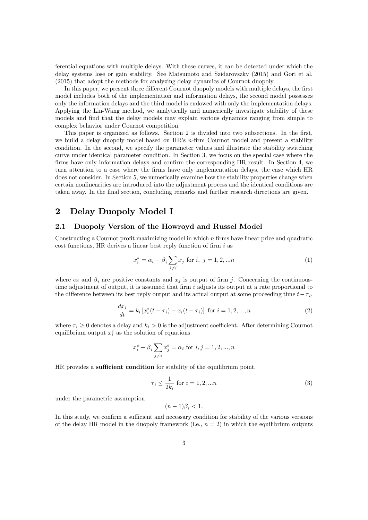ferential equations with multiple delays. With these curves, it can be detected under which the delay systems lose or gain stability. See Matsumoto and Szidarovszky (2015) and Gori et al. (2015) that adopt the methods for analyzing delay dynamics of Cournot duopoly.

In this paper, we present three different Cournot duopoly models with multiple delays, the first model includes both of the implementation and information delays, the second model possesses only the information delays and the third model is endowed with only the implementation delays. Applying the Lin-Wang method, we analytically and numerically investigate stability of these models and find that the delay models may explain various dynamics ranging from simple to complex behavior under Cournot competition.

This paper is organized as follows. Section 2 is divided into two subsections. In the first, we build a delay duopoly model based on  $HR$ 's n-firm Cournot model and present a stability condition. In the second, we specify the parameter values and illustrate the stability switching curve under identical parameter condition. In Section 3, we focus on the special case where the firms have only information delays and confirm the corresponding HR result. In Section 4, we turn attention to a case where the Örms have only implementation delays, the case which HR does not consider. In Section 5, we numerically examine how the stability properties change when certain nonlinearities are introduced into the adjustment process and the identical conditions are taken away. In the final section, concluding remarks and further research directions are given.

### 2 Delay Duopoly Model I

### 2.1 Duopoly Version of the Howroyd and Russel Model

Constructing a Cournot profit maximizing model in which  $n$  firms have linear price and quadratic cost functions, HR derives a linear best reply function of firm  $i$  as

$$
x_i^* = \alpha_i - \beta_i \sum_{j \neq i} x_j \text{ for } i, j = 1, 2, \dots n
$$
 (1)

where  $\alpha_i$  and  $\beta_i$  are positive constants and  $x_j$  is output of firm j. Concerning the continuoustime adjustment of output, it is assumed that firm  $i$  adjusts its output at a rate proportional to the difference between its best reply output and its actual output at some proceeding time  $t - \tau_i$ ,

$$
\frac{dx_i}{dt} = k_i \left[ x_i^*(t - \tau_i) - x_i(t - \tau_i) \right] \text{ for } i = 1, 2, ..., n
$$
\n(2)

where  $\tau_i \geq 0$  denotes a delay and  $k_i > 0$  is the adjustment coefficient. After determining Cournot equilibrium output  $x_i^e$  as the solution of equations

$$
x_i^e + \beta_i \sum_{j \neq i} x_j^e = \alpha_i \text{ for } i, j = 1, 2, ..., n
$$

HR provides a sufficient condition for stability of the equilibrium point,

$$
\tau_i \le \frac{1}{2k_i} \text{ for } i = 1, 2, \dots n \tag{3}
$$

under the parametric assumption

$$
(n-1)\beta_i<1.
$$

In this study, we confirm a sufficient and necessary condition for stability of the various versions of the delay HR model in the duopoly framework (i.e.,  $n = 2$ ) in which the equilibrium outputs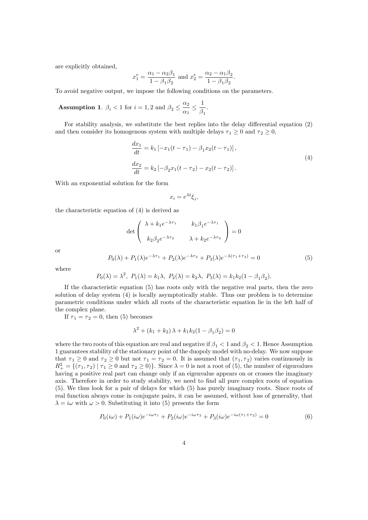are explicitly obtained,

$$
x_1^e = \frac{\alpha_1 - \alpha_2 \beta_1}{1 - \beta_1 \beta_2}
$$
 and  $x_2^e = \frac{\alpha_2 - \alpha_1 \beta_2}{1 - \beta_1 \beta_2}$ .

To avoid negative output, we impose the following conditions on the parameters.

**Assumption 1.**  $\beta_i < 1$  for  $i = 1, 2$  and  $\beta_2 \leq \frac{\alpha_2}{\alpha_1}$  $\frac{\overline{\phantom{0}}}{\alpha_1}$ 1  $\frac{1}{\beta_1}$ .

For stability analysis, we substitute the best replies into the delay differential equation  $(2)$ and then consider its homogenous system with multiple delays  $\tau_1 \geq 0$  and  $\tau_2 \geq 0$ ,

$$
\frac{dx_1}{dt} = k_1 \left[ -x_1(t - \tau_1) - \beta_1 x_2(t - \tau_1) \right],
$$
  
\n
$$
\frac{dx_2}{dt} = k_2 \left[ -\beta_2 x_1(t - \tau_2) - x_2(t - \tau_2) \right].
$$
\n(4)

With an exponential solution for the form

$$
x_i = e^{\lambda t} \xi_i,
$$

the characteristic equation of (4) is derived as

$$
\det \begin{pmatrix} \lambda + k_1 e^{-\lambda \tau_1} & k_1 \beta_1 e^{-\lambda \tau_1} \\ k_2 \beta_2 e^{-\lambda \tau_2} & \lambda + k_2 e^{-\lambda \tau_2} \end{pmatrix} = 0
$$

or

$$
P_0(\lambda) + P_1(\lambda)e^{-\lambda \tau_1} + P_2(\lambda)e^{-\lambda \tau_2} + P_3(\lambda)e^{-\lambda(\tau_1 + \tau_2)} = 0
$$
\n(5)

where

$$
P_0(\lambda) = \lambda^2, P_1(\lambda) = k_1 \lambda, P_2(\lambda) = k_2 \lambda, P_3(\lambda) = k_1 k_2 (1 - \beta_1 \beta_2).
$$

If the characteristic equation (5) has roots only with the negative real parts, then the zero solution of delay system (4) is locally asymptotically stable. Thus our problem is to determine parametric conditions under which all roots of the characteristic equation lie in the left half of the complex plane.

If  $\tau_1 = \tau_2 = 0$ , then (5) becomes

$$
\lambda^{2} + (k_{1} + k_{2})\lambda + k_{1}k_{2}(1 - \beta_{1}\beta_{2}) = 0
$$

where the two roots of this equation are real and negative if  $\beta_1 < 1$  and  $\beta_2 < 1$ . Hence Assumption 1 guarantees stability of the stationary point of the duopoly model with no-delay. We now suppose that  $\tau_1 \geq 0$  and  $\tau_2 \geq 0$  but not  $\tau_1 = \tau_2 = 0$ . It is assumed that  $(\tau_1, \tau_2)$  varies continuously in  $R_+^2 = \{(\tau_1, \tau_2) | \tau_1 \geq 0 \text{ and } \tau_2 \geq 0\}$ . Since  $\lambda = 0$  is not a root of (5), the number of eigenvalues having a positive real part can change only if an eigenvalue appears on or crosses the imaginary axis. Therefore in order to study stability, we need to find all pure complex roots of equation (5). We thus look for a pair of delays for which (5) has purely imaginary roots. Since roots of real function always come in conjugate pairs, it can be assumed, without loss of generality, that  $\lambda = i\omega$  with  $\omega > 0$ . Substituting it into (5) presents the form

$$
P_0(i\omega) + P_1(i\omega)e^{-i\omega\tau_1} + P_2(i\omega)e^{-i\omega\tau_2} + P_3(i\omega)e^{-i\omega(\tau_1 + \tau_2)} = 0
$$
\n(6)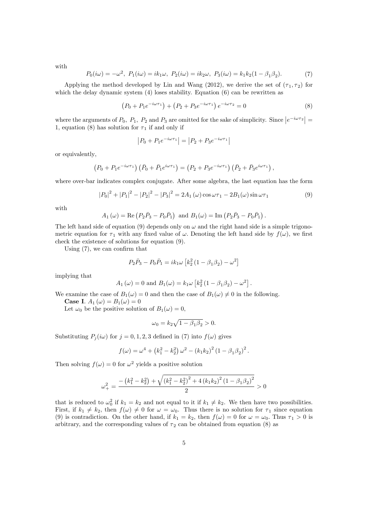with

$$
P_0(i\omega) = -\omega^2, \ P_1(i\omega) = ik_1\omega, \ P_2(i\omega) = ik_2\omega, \ P_3(i\omega) = k_1k_2(1 - \beta_1\beta_2). \tag{7}
$$

Applying the method developed by Lin and Wang (2012), we derive the set of  $(\tau_1, \tau_2)$  for which the delay dynamic system (4) loses stability. Equation (6) can be rewritten as

$$
(P_0 + P_1 e^{-i\omega \tau_1}) + (P_2 + P_3 e^{-i\omega \tau_1}) e^{-i\omega \tau_2} = 0
$$
\n(8)

where the arguments of  $P_0$ ,  $P_1$ ,  $P_2$  and  $P_3$  are omitted for the sake of simplicity. Since  $|e^{-i\omega\tau_2}|$  = 1, equation (8) has solution for  $\tau_1$  if and only if

$$
|P_0 + P_1 e^{-i\omega \tau_1}| = |P_2 + P_3 e^{-i\omega \tau_1}|
$$

or equivalently;

$$
(P_0 + P_1 e^{-i\omega \tau_1}) (\bar{P}_0 + \bar{P}_1 e^{i\omega \tau_1}) = (P_2 + P_3 e^{-i\omega \tau_1}) (\bar{P}_2 + \bar{P}_3 e^{i\omega \tau_1}),
$$

where over-bar indicates complex conjugate. After some algebra, the last equation has the form

$$
|P_0|^2 + |P_1|^2 - |P_2|^2 - |P_3|^2 = 2A_1(\omega)\cos\omega\tau_1 - 2B_1(\omega)\sin\omega\tau_1
$$
\n(9)

:

with

$$
A_1(\omega) = \text{Re}(P_2\bar{P}_3 - P_0\bar{P}_1) \text{ and } B_1(\omega) = \text{Im}(P_2\bar{P}_3 - P_0\bar{P}_1)
$$

The left hand side of equation (9) depends only on  $\omega$  and the right hand side is a simple trigonometric equation for  $\tau_1$  with any fixed value of  $\omega$ . Denoting the left hand side by  $f(\omega)$ , we first check the existence of solutions for equation (9).

Using  $(7)$ , we can confirm that

$$
P_2\bar{P}_3 - P_0\bar{P}_1 = ik_1\omega \left[k_2^2\left(1 - \beta_1\beta_2\right) - \omega^2\right]
$$

implying that

$$
A_1(\omega) = 0
$$
 and  $B_1(\omega) = k_1 \omega \left[ k_2^2 (1 - \beta_1 \beta_2) - \omega^2 \right]$ .

We examine the case of  $B_1(\omega) = 0$  and then the case of  $B_1(\omega) \neq 0$  in the following.

Case I.  $A_1(\omega) = B_1(\omega) = 0$ 

Let  $\omega_0$  be the positive solution of  $B_1(\omega) = 0$ ,

$$
\omega_0 = k_2 \sqrt{1 - \beta_1 \beta_2} > 0.
$$

Substituting  $P_j(i\omega)$  for  $j = 0, 1, 2, 3$  defined in (7) into  $f(\omega)$  gives

$$
f(\omega) = \omega^4 + (k_1^2 - k_2^2) \omega^2 - (k_1 k_2)^2 (1 - \beta_1 \beta_2)^2.
$$

Then solving  $f(\omega) = 0$  for  $\omega^2$  yields a positive solution

$$
\omega_{+}^{2} = \frac{-\left(k_{1}^{2} - k_{2}^{2}\right) + \sqrt{\left(k_{1}^{2} - k_{2}^{2}\right)^{2} + 4\left(k_{1}k_{2}\right)^{2}\left(1 - \beta_{1}\beta_{2}\right)^{2}}}{2} > 0
$$

that is reduced to  $\omega_0^2$  if  $k_1 = k_2$  and not equal to it if  $k_1 \neq k_2$ . We then have two possibilities. First, if  $k_1 \neq k_2$ , then  $f(\omega) \neq 0$  for  $\omega = \omega_0$ . Thus there is no solution for  $\tau_1$  since equation (9) is contradiction. On the other hand, if  $k_1 = k_2$ , then  $f(\omega) = 0$  for  $\omega = \omega_0$ . Thus  $\tau_1 > 0$  is arbitrary, and the corresponding values of  $\tau_2$  can be obtained from equation (8) as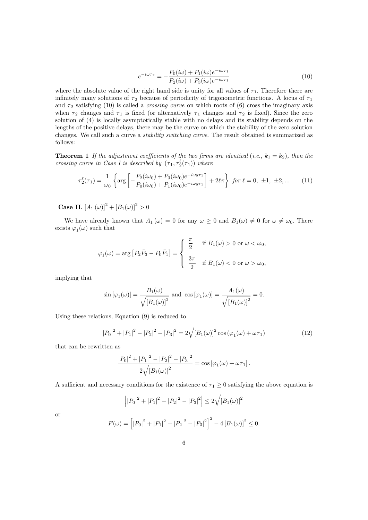$$
e^{-i\omega\tau_2} = -\frac{P_0(i\omega) + P_1(i\omega)e^{-i\omega\tau_1}}{P_2(i\omega) + P_3(i\omega)e^{-i\omega\tau_1}}
$$
(10)

where the absolute value of the right hand side is unity for all values of  $\tau_1$ . Therefore there are infinitely many solutions of  $\tau_2$  because of periodicity of trigonometric functions. A locus of  $\tau_1$ and  $\tau_2$  satisfying (10) is called a *crossing curve* on which roots of (6) cross the imaginary axis when  $\tau_2$  changes and  $\tau_1$  is fixed (or alternatively  $\tau_1$  changes and  $\tau_2$  is fixed). Since the zero solution of (4) is locally asymptotically stable with no delays and its stability depends on the lengths of the positive delays, there may be the curve on which the stability of the zero solution changes. We call such a curve a stability switching curve. The result obtained is summarized as follows:

**Theorem 1** If the adjustment coefficients of the two firms are identical (i.e.,  $k_1 = k_2$ ), then the crossing curve in Case I is described by  $(\tau_1, \tau_2^{\ell}(\tau_1))$  where

$$
\tau_2^{\ell}(\tau_1) = \frac{1}{\omega_0} \left\{ \arg \left[ -\frac{P_2(i\omega_0) + P_3(i\omega_0)e^{-i\omega_0\tau_1}}{P_0(i\omega_0) + P_1(i\omega_0)e^{-i\omega_0\tau_1}} \right] + 2\ell\pi \right\} \text{ for } \ell = 0, \pm 1, \pm 2, \dots \tag{11}
$$

**Case II.**  $[A_1(\omega)]^2 + [B_1(\omega)]^2 > 0$ 

We have already known that  $A_1(\omega) = 0$  for any  $\omega \geq 0$  and  $B_1(\omega) \neq 0$  for  $\omega \neq \omega_0$ . There exists  $\varphi_1(\omega)$  such that

$$
\varphi_1(\omega) = \arg \left[ P_2 \bar{P}_3 - P_0 \bar{P}_1 \right] = \begin{cases} \frac{\pi}{2} & \text{if } B_1(\omega) > 0 \text{ or } \omega < \omega_0, \\ \\ \frac{3\pi}{2} & \text{if } B_1(\omega) < 0 \text{ or } \omega > \omega_0, \end{cases}
$$

implying that

$$
\sin\left[\varphi_1(\omega)\right] = \frac{B_1(\omega)}{\sqrt{\left[B_1(\omega)\right]^2}} \text{ and } \cos\left[\varphi_1(\omega)\right] = \frac{A_1(\omega)}{\sqrt{\left[B_1(\omega)\right]^2}} = 0.
$$

Using these relations, Equation (9) is reduced to

$$
|P_0|^2 + |P_1|^2 - |P_2|^2 - |P_3|^2 = 2\sqrt{[B_1(\omega)]^2} \cos(\varphi_1(\omega) + \omega \tau_1)
$$
\n(12)

that can be rewritten as

$$
\frac{|P_0|^2 + |P_1|^2 - |P_2|^2 - |P_3|^2}{2\sqrt{\left[B_1(\omega)\right]^2}} = \cos\left[\varphi_1(\omega) + \omega\tau_1\right].
$$

A sufficient and necessary conditions for the existence of  $\tau_1 \geq 0$  satisfying the above equation is

$$
\left| |P_0|^2 + |P_1|^2 - |P_2|^2 - |P_3|^2 \right| \le 2\sqrt{\left[B_1(\omega)\right]^2}
$$
  

$$
F(\omega) = \left[ |P_0|^2 + |P_1|^2 - |P_2|^2 - |P_3|^2 \right]^2 - 4\left[B_1(\omega)\right]^2 \le 2\sqrt{\left[B_1(\omega)\right]^2}
$$

or

$$
F(\omega) = \left[ \left| P_0 \right|^2 + \left| P_1 \right|^2 - \left| P_2 \right|^2 - \left| P_3 \right|^2 \right]^2 - 4 \left[ B_1(\omega) \right]^2 \le 0.
$$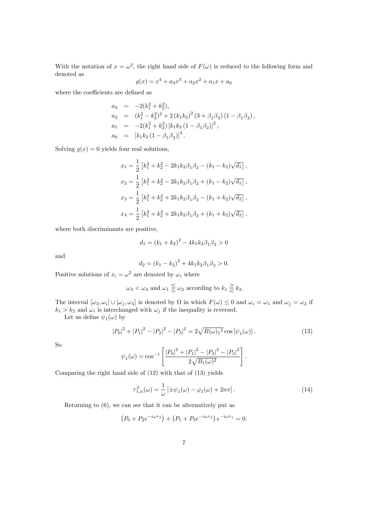With the notation of  $x = \omega^2$ , the right hand side of  $F(\omega)$  is reduced to the following form and denoted as

$$
g(x) = x^4 + a_3 x^3 + a_2 x^2 + a_1 x + a_0
$$

where the coefficients are defined as

$$
a_3 = -2(k_1^2 + k_2^2),
$$
  
\n
$$
a_2 = (k_1^2 - k_2^2)^2 + 2(k_1k_2)^2 (3 + \beta_1\beta_2) (1 - \beta_1\beta_2),
$$
  
\n
$$
a_1 = -2(k_1^2 + k_2^2) [k_1k_2 (1 - \beta_1\beta_2)]^2,
$$
  
\n
$$
a_0 = [k_1k_2 (1 - \beta_1\beta_2)]^4.
$$

Solving  $q(x) = 0$  yields four real solutions,

$$
x_1 = \frac{1}{2} \left[ k_1^2 + k_2^2 - 2k_1 k_2 \beta_1 \beta_2 - (k_1 - k_2) \sqrt{d_1} \right],
$$
  
\n
$$
x_2 = \frac{1}{2} \left[ k_1^2 + k_2^2 - 2k_1 k_2 \beta_1 \beta_2 + (k_1 - k_2) \sqrt{d_1} \right],
$$
  
\n
$$
x_3 = \frac{1}{2} \left[ k_1^2 + k_2^2 + 2k_1 k_2 \beta_1 \beta_2 - (k_1 + k_2) \sqrt{d_2} \right],
$$
  
\n
$$
x_4 = \frac{1}{2} \left[ k_1^2 + k_2^2 + 2k_1 k_2 \beta_1 \beta_2 + (k_1 + k_2) \sqrt{d_2} \right],
$$

where both discriminants are positive,

$$
d_1 = (k_1 + k_2)^2 - 4k_1k_2\beta_1\beta_2 > 0
$$

and

$$
d_2 = (k_1 - k_2)^2 + 4k_1k_2\beta_1\beta_2 > 0.
$$

Positive solutions of  $x_i = \omega^2$  are denoted by  $\omega_i$  where

$$
\omega_3 < \omega_4
$$
 and  $\omega_1 \leq \omega_2$  according to  $k_1 \geq k_2$ .

The interval  $[\omega_3, \omega_i] \cup [\omega_j, \omega_4]$  is denoted by  $\Omega$  in which  $F(\omega) \leq 0$  and  $\omega_i = \omega_1$  and  $\omega_j = \omega_2$  if  $k_1 > k_2$  and  $\omega_i$  is interchanged with  $\omega_j$  if the inequality is reversed.

Let us define  $\psi_1(\omega)$  by

$$
|P_0|^2 + |P_1|^2 - |P_2|^2 - |P_3|^2 = 2\sqrt{B(\omega)_1^2} \cos[\psi_1(\omega)].
$$
\n(13)

So

$$
\psi_1(\omega) = \cos^{-1}\left[\frac{|P_0|^2 + |P_1|^2 - |P_2|^2 - |P_3|^2}{2\sqrt{B_1(\omega)^2}}\right].
$$

Comparing the right hand side of (12) with that of (13) yields

$$
\tau_{1,n}^{\pm}(\omega) = \frac{1}{\omega} \left[ \pm \psi_1(\omega) - \varphi_1(\omega) + 2n\pi \right]. \tag{14}
$$

Returning to (6), we can see that it can be alternatively put as

$$
(P_0 + P_2 e^{-i\omega \tau_2}) + (P_1 + P_3 e^{-i\omega \tau_2}) e^{-i\omega \tau_1} = 0.
$$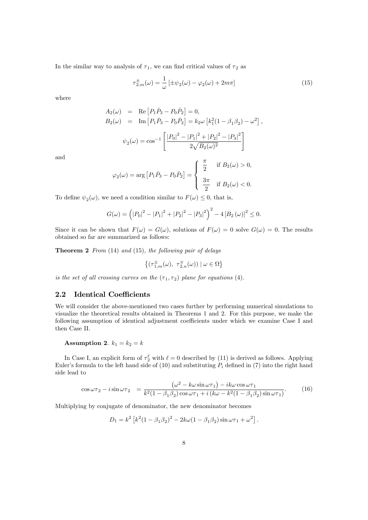In the similar way to analysis of  $\tau_1$ , we can find critical values of  $\tau_2$  as

$$
\tau_{2,m}^{\pm}(\omega) = \frac{1}{\omega} \left[ \pm \psi_2(\omega) - \varphi_2(\omega) + 2m\pi \right] \tag{15}
$$

where

$$
A_2(\omega) = \text{Re} [P_1 \bar{P}_3 - P_0 \bar{P}_2] = 0,
$$
  
\n
$$
B_2(\omega) = \text{Im} [P_1 \bar{P}_3 - P_0 \bar{P}_2] = k_2 \omega [k_1^2 (1 - \beta_1 \beta_2) - \omega^2],
$$
  
\n
$$
\psi_2(\omega) = \cos^{-1} \left[ \frac{|P_0|^2 - |P_1|^2 + |P_2|^2 - |P_3|^2}{2\sqrt{B_2(\omega)^2}} \right]
$$

and

$$
\varphi_2(\omega) = \arg \left[ P_1 \bar{P}_3 - P_0 \bar{P}_2 \right] = \begin{cases} \frac{\pi}{2} & \text{if } B_2(\omega) > 0, \\ \frac{3\pi}{2} & \text{if } B_2(\omega) < 0. \end{cases}
$$

To define  $\psi_2(\omega)$ , we need a condition similar to  $F(\omega) \leq 0$ , that is,

$$
G(\omega) = (|P_0|^2 - |P_1|^2 + |P_2|^2 - |P_3|^2)^2 - 4 [B_2(\omega)]^2 \le 0.
$$

Since it can be shown that  $F(\omega) = G(\omega)$ , solutions of  $F(\omega) = 0$  solve  $G(\omega) = 0$ . The results obtained so far are summarized as follows:

**Theorem 2** From  $(14)$  and  $(15)$ , the following pair of delays

$$
\left\{ \big(\tau_{1,m}^{\pm}(\omega),\ \tau_{2,n}^{\mp}(\omega)\big) \mid \omega \in \Omega \right\}
$$

is the set of all crossing curves on the  $(\tau_1, \tau_2)$  plane for equations (4).

### 2.2 Identical Coefficients

We will consider the above-mentioned two cases further by performing numerical simulations to visualize the theoretical results obtained in Theorems 1 and 2. For this purpose, we make the following assumption of identical adjustment coefficients under which we examine Case I and then Case II.

## Assumption 2.  $k_1 = k_2 = k$

In Case I, an explicit form of  $\tau_2^{\ell}$  with  $\ell = 0$  described by (11) is derived as follows. Applying Euler's formula to the left hand side of (10) and substituting  $P_i$  defined in (7) into the right hand side lead to

$$
\cos\omega\tau_2 - i\sin\omega\tau_2 = \frac{(\omega^2 - k\omega\sin\omega\tau_1) - ik\omega\cos\omega\tau_1}{k^2(1 - \beta_1\beta_2)\cos\omega\tau_1 + i(k\omega - k^2(1 - \beta_1\beta_2)\sin\omega\tau_1)}.
$$
(16)

Multiplying by conjugate of denominator, the new denominator becomes

$$
D_1 = k^2 \left[ k^2 (1 - \beta_1 \beta_2)^2 - 2k\omega (1 - \beta_1 \beta_2) \sin \omega \tau_1 + \omega^2 \right].
$$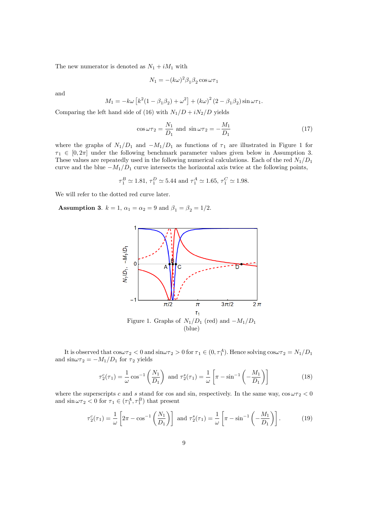The new numerator is denoted as  $N_1 + iM_1$  with

$$
N_1 = -(k\omega)^2 \beta_1 \beta_2 \cos \omega \tau_1
$$

and

$$
M_1 = -k\omega \left[ k^2 (1 - \beta_1 \beta_2) + \omega^2 \right] + (k\omega)^2 (2 - \beta_1 \beta_2) \sin \omega \tau_1.
$$

Comparing the left hand side of (16) with  $N_1/D + iN_2/D$  yields

$$
\cos \omega \tau_2 = \frac{N_1}{D_1} \text{ and } \sin \omega \tau_2 = -\frac{M_1}{D_1} \tag{17}
$$

where the graphs of  $N_1/D_1$  and  $-M_1/D_1$  as functions of  $\tau_1$  are illustrated in Figure 1 for  $\tau_1 \in [0, 2\pi]$  under the following benchmark parameter values given below in Assumption 3. These values are repeatedly used in the following numerical calculations. Each of the red  $N_1/D_1$ curve and the blue  $-M_1/D_1$  curve intersects the horizontal axis twice at the following points,

$$
\tau_1^B \simeq 1.81, \tau_1^D \simeq 5.44
$$
 and  $\tau_1^A \simeq 1.65, \tau_1^C \simeq 1.98$ .

We will refer to the dotted red curve later.

**Assumption 3.**  $k = 1$ ,  $\alpha_1 = \alpha_2 = 9$  and  $\beta_1 = \beta_2 = 1/2$ .



It is observed that  $\cos \omega \tau_2 < 0$  and  $\sin \omega \tau_2 > 0$  for  $\tau_1 \in (0, \tau_1^A)$ . Hence solving  $\cos \omega \tau_2 = N_1/D_1$ and  $\sin \omega \tau_2 = -M_1/D_1$  for  $\tau_2$  yields

$$
\tau_2^c(\tau_1) = \frac{1}{\omega} \cos^{-1} \left( \frac{N_1}{D_1} \right) \text{ and } \tau_2^s(\tau_1) = \frac{1}{\omega} \left[ \pi - \sin^{-1} \left( -\frac{M_1}{D_1} \right) \right] \tag{18}
$$

where the superscripts c and s stand for cos and sin, respectively. In the same way,  $\cos \omega \tau_2 < 0$ and  $\sin \omega \tau_2 < 0$  for  $\tau_1 \in (\tau_1^A, \tau_1^B)$  that present

$$
\tau_2^c(\tau_1) = \frac{1}{\omega} \left[ 2\pi - \cos^{-1} \left( \frac{N_1}{D_1} \right) \right] \text{ and } \tau_2^s(\tau_1) = \frac{1}{\omega} \left[ \pi - \sin^{-1} \left( -\frac{M_1}{D_1} \right) \right]. \tag{19}
$$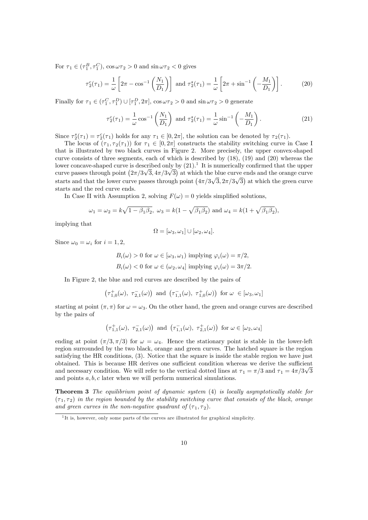For  $\tau_1 \in (\tau_1^B, \tau_1^C)$ ,  $\cos \omega \tau_2 > 0$  and  $\sin \omega \tau_2 < 0$  gives

$$
\tau_2^c(\tau_1) = \frac{1}{\omega} \left[ 2\pi - \cos^{-1} \left( \frac{N_1}{D_1} \right) \right] \text{ and } \tau_2^s(\tau_1) = \frac{1}{\omega} \left[ 2\pi + \sin^{-1} \left( -\frac{M_1}{D_1} \right) \right]. \tag{20}
$$

Finally for  $\tau_1 \in (\tau_1^C, \tau_1^D) \cup [\tau_1^D, 2\pi]$ ,  $\cos \omega \tau_2 > 0$  and  $\sin \omega \tau_2 > 0$  generate

$$
\tau_2^c(\tau_1) = \frac{1}{\omega} \cos^{-1} \left( \frac{N_1}{D_1} \right) \text{ and } \tau_2^s(\tau_1) = \frac{1}{\omega} \sin^{-1} \left( -\frac{M_1}{D_1} \right). \tag{21}
$$

Since  $\tau_2^s(\tau_1) = \tau_2^c(\tau_1)$  holds for any  $\tau_1 \in [0, 2\pi]$ , the solution can be denoted by  $\tau_2(\tau_1)$ .

The locus of  $(\tau_1, \tau_2(\tau_1))$  for  $\tau_1 \in [0, 2\pi]$  constructs the stability switching curve in Case I that is illustrated by two black curves in Figure 2. More precisely, the upper convex-shaped curve consists of three segments, each of which is described by (18), (19) and (20) whereas the lower concave-shaped curve is described only by  $(21)$ .<sup>1</sup> It is numerically confirmed that the upper curve passes through point  $(2\pi/3\sqrt{3}, 4\pi/3\sqrt{3})$  at which the blue curve ends and the orange curve starts and that the lower curve passes through point  $(4\pi/3\sqrt{3}, 2\pi/3\sqrt{3})$  at which the green curve starts and the red curve ends.

In Case II with Assumption 2, solving  $F(\omega) = 0$  yields simplified solutions,

$$
\omega_1 = \omega_2 = k\sqrt{1 - \beta_1\beta_2}, \ \omega_3 = k(1 - \sqrt{\beta_1\beta_2})
$$
 and  $\omega_4 = k(1 + \sqrt{\beta_1\beta_2}),$ 

implying that

$$
\Omega = [\omega_3, \omega_1] \cup [\omega_2, \omega_4].
$$

Since  $\omega_0 = \omega_i$  for  $i = 1, 2$ ;

$$
B_i(\omega) > 0 \text{ for } \omega \in [\omega_3, \omega_1) \text{ implying } \varphi_i(\omega) = \pi/2,
$$
  

$$
B_i(\omega) < 0 \text{ for } \omega \in (\omega_2, \omega_4] \text{ implying } \varphi_i(\omega) = 3\pi/2.
$$

In Figure 2, the blue and red curves are described by the pairs of

$$
\left(\tau_{1,0}^{+}(\omega),\ \tau_{2,1}^{-}(\omega)\right)\text{ and }\left(\tau_{1,1}^{-}(\omega),\ \tau_{1,0}^{+}(\omega)\right)\text{ for }\omega\ \in [\omega_3,\omega_1]
$$

starting at point  $(\pi, \pi)$  for  $\omega = \omega_3$ . On the other hand, the green and orange curves are described by the pairs of

$$
\left(\tau_{1,1}^{+}(\omega),\ \tau_{2,1}^{-}(\omega)\right)\text{ and }\left(\tau_{1,1}^{-}(\omega),\ \tau_{2,1}^{+}(\omega)\right)\text{ for }\omega\in[\omega_2,\omega_4]
$$

ending at point  $(\pi/3, \pi/3)$  for  $\omega = \omega_4$ . Hence the stationary point is stable in the lower-left region surrounded by the two black, orange and green curves. The hatched square is the region satisfying the HR conditions, (3). Notice that the square is inside the stable region we have just obtained. This is because HR derives one sufficient condition whereas we derive the sufficient and necessary condition. We will refer to the vertical dotted lines at  $\tau_1 = \pi/3$  and  $\tau_1 = 4\pi/3\sqrt{3}$ and points  $a, b, c$  later when we will perform numerical simulations.

**Theorem 3** The equilibrium point of dynamic system (4) is locally asymptotically stable for  $(\tau_1, \tau_2)$  in the region bounded by the stability switching curve that consists of the black, orange and green curves in the non-negative quadrant of  $(\tau_1, \tau_2)$ .

<sup>&</sup>lt;sup>1</sup>It is, however, only some parts of the curves are illustrated for graphical simplicity.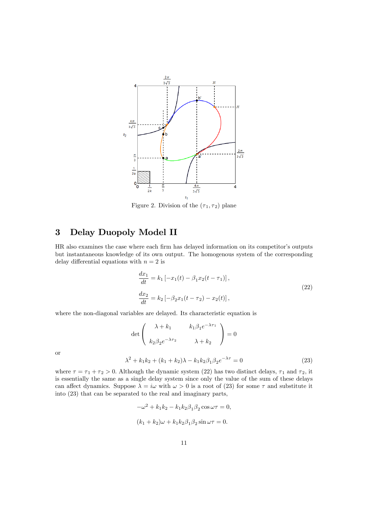

Figure 2. Division of the  $(\tau_1, \tau_2)$  plane

## 3 Delay Duopoly Model II

HR also examines the case where each firm has delayed information on its competitor's outputs but instantaneous knowledge of its own output. The homogenous system of the corresponding delay differential equations with  $n = 2$  is

$$
\frac{dx_1}{dt} = k_1 \left[ -x_1(t) - \beta_1 x_2(t - \tau_1) \right],
$$
  
\n
$$
\frac{dx_2}{dt} = k_2 \left[ -\beta_2 x_1(t - \tau_2) - x_2(t) \right],
$$
\n(22)

where the non-diagonal variables are delayed. Its characteristic equation is

$$
\det \begin{pmatrix} \lambda + k_1 & k_1 \beta_1 e^{-\lambda \tau_1} \\ k_2 \beta_2 e^{-\lambda \tau_2} & \lambda + k_2 \end{pmatrix} = 0
$$
  

$$
\lambda^2 + k_1 k_2 + (k_1 + k_2) \lambda - k_1 k_2 \beta_1 \beta_2 e^{-\lambda \tau} = 0
$$
 (23)

or

where 
$$
\tau = \tau_1 + \tau_2 > 0
$$
. Although the dynamic system (22) has two distinct delays,  $\tau_1$  and  $\tau_2$ , it is essentially the same as a single delay system since only the value of the sum of these delays can affect dynamics. Suppose  $\lambda = i\omega$  with  $\omega > 0$  is a root of (23) for some  $\tau$  and substitute it into (23) that can be separated to the real and imaginary parts,

$$
-\omega^2 + k_1 k_2 - k_1 k_2 \beta_1 \beta_2 \cos \omega \tau = 0,
$$
  

$$
(k_1 + k_2)\omega + k_1 k_2 \beta_1 \beta_2 \sin \omega \tau = 0.
$$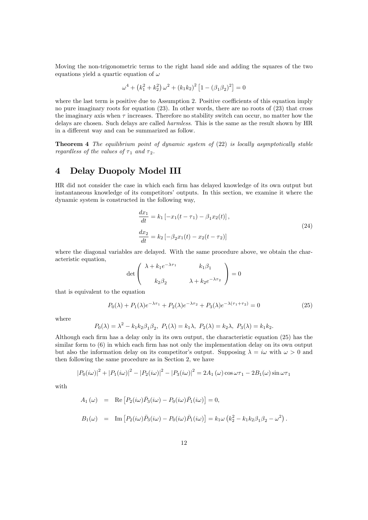Moving the non-trigonometric terms to the right hand side and adding the squares of the two equations yield a quartic equation of  $\omega$ 

$$
\omega^4 + (k_1^2 + k_2^2) \omega^2 + (k_1 k_2)^2 [1 - (\beta_1 \beta_2)^2] = 0
$$

where the last term is positive due to Assumption 2. Positive coefficients of this equation imply no pure imaginary roots for equation (23). In other words, there are no roots of (23) that cross the imaginary axis when  $\tau$  increases. Therefore no stability switch can occur, no matter how the delays are chosen. Such delays are called harmless. This is the same as the result shown by HR in a different way and can be summarized as follow.

**Theorem 4** The equilibrium point of dynamic system of  $(22)$  is locally asymptotically stable regardless of the values of  $\tau_1$  and  $\tau_2$ .

## 4 Delay Duopoly Model III

HR did not consider the case in which each Örm has delayed knowledge of its own output but instantaneous knowledge of its competitorsí outputs. In this section, we examine it where the dynamic system is constructed in the following way,

$$
\frac{dx_1}{dt} = k_1 \left[ -x_1(t - \tau_1) - \beta_1 x_2(t) \right],
$$
\n
$$
\frac{dx_2}{dt} = k_2 \left[ -\beta_2 x_1(t) - x_2(t - \tau_2) \right]
$$
\n(24)

where the diagonal variables are delayed. With the same procedure above, we obtain the characteristic equation,

$$
\det \left(\begin{array}{cc} \lambda + k_1 e^{-\lambda \tau_1} & k_1 \beta_1 \\ k_2 \beta_2 & \lambda + k_2 e^{-\lambda \tau_2} \end{array}\right) = 0
$$

that is equivalent to the equation

$$
P_0(\lambda) + P_1(\lambda)e^{-\lambda \tau_1} + P_2(\lambda)e^{-\lambda \tau_2} + P_3(\lambda)e^{-\lambda(\tau_1 + \tau_2)} = 0
$$
\n(25)

where

$$
P_0(\lambda) = \lambda^2 - k_1 k_2 \beta_1 \beta_2
$$
,  $P_1(\lambda) = k_1 \lambda$ ,  $P_2(\lambda) = k_2 \lambda$ ,  $P_3(\lambda) = k_1 k_2$ .

Although each Örm has a delay only in its own output, the characteristic equation (25) has the similar form to  $(6)$  in which each firm has not only the implementation delay on its own output but also the information delay on its competitor's output. Supposing  $\lambda = i\omega$  with  $\omega > 0$  and then following the same procedure as in Section 2, we have

$$
|P_0(i\omega)|^2 + |P_1(i\omega)|^2 - |P_2(i\omega)|^2 - |P_3(i\omega)|^2 = 2A_1(\omega)\cos\omega\tau_1 - 2B_1(\omega)\sin\omega\tau_1
$$

with

$$
A_1(\omega) = \text{Re}\left[P_2(i\omega)\overline{P}_3(i\omega) - P_0(i\omega)\overline{P}_1(i\omega)\right] = 0,
$$
  

$$
B_1(\omega) = \text{Im}\left[P_2(i\omega)\overline{P}_3(i\omega) - P_0(i\omega)\overline{P}_1(i\omega)\right] = k_1\omega\left(k_2^2 - k_1k_2\beta_1\beta_2 - \omega^2\right).
$$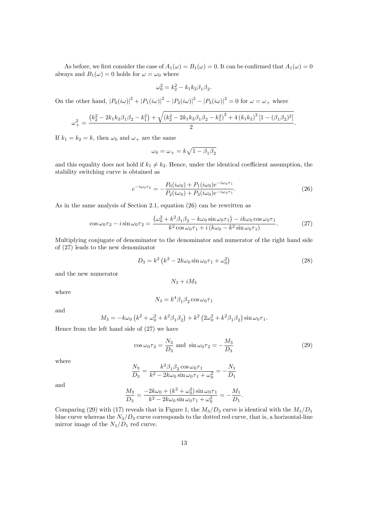As before, we first consider the case of  $A_1(\omega) = B_1(\omega) = 0$ . It can be confirmed that  $A_1(\omega) = 0$ always and  $B_1(\omega) = 0$  holds for  $\omega = \omega_0$  where

$$
\omega_0^2 = k_2^2 - k_1 k_2 \beta_1 \beta_2.
$$

On the other hand,  $|P_0(i\omega)|^2 + |P_1(i\omega)|^2 - |P_2(i\omega)|^2 - |P_3(i\omega)|^2 = 0$  for  $\omega = \omega_+$  where

$$
\omega_{+}^{2} = \frac{(k_{2}^{2} - 2k_{1}k_{2}\beta_{1}\beta_{2} - k_{1}^{2}) + \sqrt{(k_{2}^{2} - 2k_{1}k_{2}\beta_{1}\beta_{2} - k_{1}^{2})^{2} + 4(k_{1}k_{2})^{2}[1 - (\beta_{1}\beta_{2})^{2}]}{2}.
$$

If  $k_1 = k_2 = k$ , then  $\omega_0$  and  $\omega_+$  are the same

$$
\omega_0=\omega_+=k\sqrt{1-\beta_1\beta_2}
$$

and this equality does not hold if  $k_1 \neq k_2$ . Hence, under the identical coefficient assumption, the stability switching curve is obtained as

$$
e^{-i\omega_0 \tau_2} = -\frac{P_0(i\omega_0) + P_1(i\omega_0)e^{-i\omega_0 \tau_1}}{P_2(i\omega_0) + P_3(i\omega_0)e^{-i\omega_0 \tau_1}}.
$$
\n(26)

As in the same analysis of Section 2.1, equation (26) can be rewritten as

$$
\cos\omega_0 \tau_2 - i \sin\omega_0 \tau_2 = \frac{(\omega_0^2 + k^2 \beta_1 \beta_2 - k\omega_0 \sin\omega_0 \tau_1) - ik\omega_0 \cos\omega_0 \tau_1}{k^2 \cos\omega_0 \tau_1 + i(k\omega_0 - k^2 \sin\omega_0 \tau_1)}.
$$
(27)

Multiplying conjugate of denominator to the denominator and numerator of the right hand side of (27) leads to the new denominator

$$
D_3 = k^2 \left( k^2 - 2k\omega_0 \sin \omega_0 \tau_1 + \omega_0^2 \right) \tag{28}
$$

and the new numerator

$$
N_3+iM_3
$$

where

$$
N_3 = k^4 \beta_1 \beta_2 \cos \omega_0 \tau_1
$$

and

$$
M_3 = -k\omega_0 \left(k^2 + \omega_0^2 + k^2 \beta_1 \beta_2\right) + k^2 \left(2\omega_0^2 + k^2 \beta_1 \beta_2\right) \sin \omega_0 \tau_1.
$$

Hence from the left hand side of (27) we have

$$
\cos\omega_0 \tau_2 = \frac{N_3}{D_3} \text{ and } \sin\omega_0 \tau_2 = -\frac{M_3}{D_3} \tag{29}
$$

where

$$
\frac{N_3}{D_3} = \frac{k^2 \beta_1 \beta_2 \cos \omega_0 \tau_1}{k^2 - 2k\omega_0 \sin \omega_0 \tau_1 + \omega_0^2} = -\frac{N_1}{D_1}
$$

and

$$
\frac{M_3}{D_3} = \frac{-2k\omega_0 + (k^2 + \omega_0^2)\sin\omega_0\tau_1}{k^2 - 2k\omega_0\sin\omega_0\tau_1 + \omega_0^2} = -\frac{M_1}{D_1}.
$$

Comparing (29) with (17) reveals that in Figure 1, the  $M_3/D_3$  curve is identical with the  $M_1/D_1$ blue curve whereas the  $N_3/D_3$  curve corresponds to the dotted red curve, that is, a horizontal-line mirror image of the  $N_1/D_1$  red curve.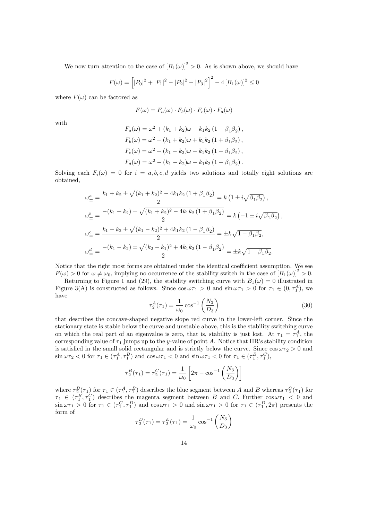We now turn attention to the case of  $[B_1(\omega)]^2 > 0$ . As is shown above, we should have

$$
F(\omega) = \left[ |P_0|^2 + |P_1|^2 - |P_2|^2 - |P_3|^2 \right]^2 - 4 \left[ B_1(\omega) \right]^2 \le 0
$$

where  $F(\omega)$  can be factored as

$$
F(\omega) = F_a(\omega) \cdot F_b(\omega) \cdot F_c(\omega) \cdot F_d(\omega)
$$

with

$$
F_a(\omega) = \omega^2 + (k_1 + k_2)\omega + k_1k_2 (1 + \beta_1\beta_2),
$$
  
\n
$$
F_b(\omega) = \omega^2 - (k_1 + k_2)\omega + k_1k_2 (1 + \beta_1\beta_2),
$$
  
\n
$$
F_c(\omega) = \omega^2 + (k_1 - k_2)\omega - k_1k_2 (1 - \beta_1\beta_2),
$$
  
\n
$$
F_d(\omega) = \omega^2 - (k_1 - k_2)\omega - k_1k_2 (1 - \beta_1\beta_2).
$$

Solving each  $F_i(\omega) = 0$  for  $i = a, b, c, d$  yields two solutions and totally eight solutions are obtained,

$$
\omega_{\pm}^{a} = \frac{k_{1} + k_{2} \pm \sqrt{(k_{1} + k_{2})^{2} - 4k_{1}k_{2}(1 + \beta_{1}\beta_{2})}}{2} = k \left(1 \pm i\sqrt{\beta_{1}\beta_{2}}\right),
$$
  
\n
$$
\omega_{\pm}^{b} = \frac{-(k_{1} + k_{2}) \pm \sqrt{(k_{1} + k_{2})^{2} - 4k_{1}k_{2}(1 + \beta_{1}\beta_{2})}}{2} = k \left(-1 \pm i\sqrt{\beta_{1}\beta_{2}}\right),
$$
  
\n
$$
\omega_{\pm}^{c} = \frac{k_{1} - k_{2} \pm \sqrt{(k_{1} - k_{2})^{2} + 4k_{1}k_{2}(1 - \beta_{1}\beta_{2})}}{2} = \pm k\sqrt{1 - \beta_{1}\beta_{2}},
$$
  
\n
$$
\omega_{\pm}^{d} = \frac{-(k_{1} - k_{2}) \pm \sqrt{(k_{2} - k_{1})^{2} + 4k_{1}k_{2}(1 - \beta_{1}\beta_{2})}}{2} = \pm k\sqrt{1 - \beta_{1}\beta_{2}}.
$$

Notice that the right most forms are obtained under the identical coefficient assumption. We see  $F(\omega) > 0$  for  $\omega \neq \omega_0$ , implying no occurrence of the stability switch in the case of  $[B_1(\omega)]^2 > 0$ .

Returning to Figure 1 and (29), the stability switching curve with  $B_1(\omega) = 0$  illustrated in Figure 3(A) is constructed as follows. Since  $\cos \omega \tau_1 > 0$  and  $\sin \omega \tau_1 > 0$  for  $\tau_1 \in (0, \tau_1^A)$ , we have

$$
\tau_2^A(\tau_1) = \frac{1}{\omega_0} \cos^{-1} \left(\frac{N_3}{D_3}\right) \tag{30}
$$

that describes the concave-shaped negative slope red curve in the lower-left corner. Since the stationary state is stable below the curve and unstable above, this is the stability switching curve on which the real part of an eigenvalue is zero, that is, stability is just lost. At  $\tau_1 = \tau_1^A$ , the corresponding value of  $\tau_1$  jumps up to the y-value of point A. Notice that HR's stability condition is satisfied in the small solid rectangular and is strictly below the curve. Since  $\cos \omega \tau_2 > 0$  and  $\sin \omega \tau_2 < 0$  for  $\tau_1 \in (\tau_1^A, \tau_1^B)$  and  $\cos \omega \tau_1 < 0$  and  $\sin \omega \tau_1 < 0$  for  $\tau_1 \in (\tau_1^B, \tau_1^C)$ ,

$$
\tau_2^B(\tau_1) = \tau_2^C(\tau_1) = \frac{1}{\omega_0} \left[ 2\pi - \cos^{-1} \left( \frac{N_3}{D_3} \right) \right]
$$

where  $\tau_2^B(\tau_1)$  for  $\tau_1 \in (\tau_1^A, \tau_1^B)$  describes the blue segment between A and B whereas  $\tau_2^C(\tau_1)$  for  $\tau_1 \in (\tau_1^B, \tau_1^C)$  describes the magenta segment between B and C. Further  $\cos \omega \tau_1 < 0$  and  $\sin \omega \tau_1 > 0$  for  $\tau_1 \in (\tau_1^C, \tau_1^D)$  and  $\cos \omega \tau_1 > 0$  and  $\sin \omega \tau_1 > 0$  for  $\tau_1 \in (\tau_1^D, 2\pi)$  presents the form of

$$
\tau_2^D(\tau_1) = \tau_2^E(\tau_1) = \frac{1}{\omega_0} \cos^{-1} \left(\frac{N_3}{D_3}\right)
$$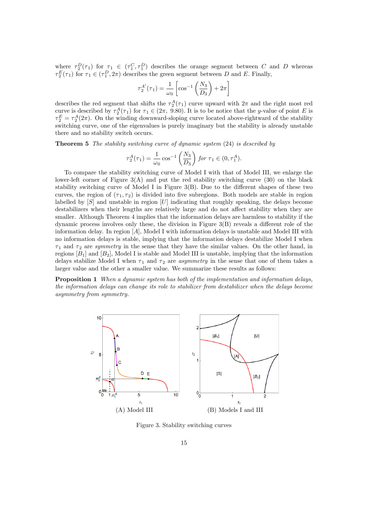where  $\tau_2^D(\tau_1)$  for  $\tau_1 \in (\tau_1^C, \tau_1^D)$  describes the orange segment between C and D whereas  $\tau_2^E(\tau_1)$  for  $\tau_1 \in (\tau_1^D, 2\pi)$  describes the green segment between D and E. Finally,

$$
\tau_2^{A'}(\tau_1) = \frac{1}{\omega_0} \left[ \cos^{-1} \left( \frac{N_3}{D_3} \right) + 2\pi \right]
$$

describes the red segment that shifts the  $\tau_2^A(\tau_1)$  curve upward with  $2\pi$  and the right most red curve is described by  $\tau_2^A(\tau_1)$  for  $\tau_1 \in (2\pi, 9.80)$ . It is to be notice that the y-value of point E is  $\tau_2^E = \tau_2^A(2\pi)$ . On the winding downward-sloping curve located above-rightward of the stability switching curve, one of the eigenvalues is purely imaginary but the stability is already unstable there and no stability switch occurs.

**Theorem 5** The stability switching curve of dynamic system  $(24)$  is described by

$$
\tau_2^A(\tau_1) = \frac{1}{\omega_0} \cos^{-1} \left( \frac{N_3}{D_3} \right) \text{ for } \tau_1 \in (0, \tau_1^A).
$$

To compare the stability switching curve of Model I with that of Model III, we enlarge the lower-left corner of Figure 3(A) and put the red stability switching curve (30) on the black stability switching curve of Model I in Figure  $3(B)$ . Due to the different shapes of these two curves, the region of  $(\tau_1, \tau_2)$  is divided into five subregions. Both models are stable in region labelled by  $[S]$  and unstable in region  $[U]$  indicating that roughly speaking, the delays become destabilizers when their lengths are relatively large and do not affect stability when they are smaller. Although Theorem 4 implies that the information delays are harmless to stability if the dynamic process involves only these, the division in Figure  $3(B)$  reveals a different role of the information delay. In region [A]; Model I with information delays is unstable and Model III with no information delays is stable, implying that the information delays destabilize Model I when  $\tau_1$  and  $\tau_2$  are symmetry in the sense that they have the similar values. On the other hand, in regions  $[B_1]$  and  $[B_2]$ , Model I is stable and Model III is unstable, implying that the information delays stabilize Model I when  $\tau_1$  and  $\tau_2$  are *asymmetry* in the sense that one of them takes a larger value and the other a smaller value. We summarize these results as follows:

**Proposition 1** When a dynamic system has both of the implementation and information delays, the information delays can change its role to stabilizer from destabilizer when the delays become asymmetry from symmetry.



Figure 3. Stability switching curves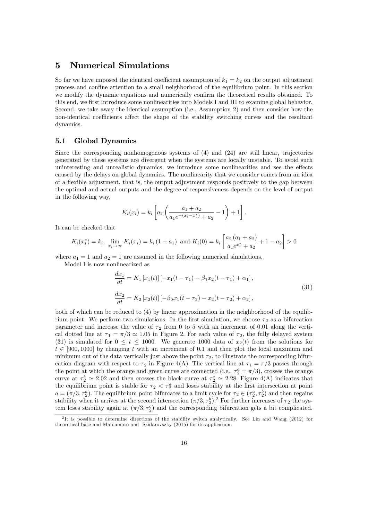## 5 Numerical Simulations

So far we have imposed the identical coefficient assumption of  $k_1 = k_2$  on the output adjustment process and confine attention to a small neighborhood of the equilibrium point. In this section we modify the dynamic equations and numerically confirm the theoretical results obtained. To this end, we first introduce some nonlinearities into Models I and III to examine global behavior. Second, we take away the identical assumption (i.e., Assumption 2) and then consider how the non-identical coefficients affect the shape of the stability switching curves and the resultant dynamics.

### 5.1 Global Dynamics

Since the corresponding nonhomogenous systems of (4) and (24) are still linear, trajectories generated by these systems are divergent when the systems are locally unstable. To avoid such uninteresting and unrealistic dynamics, we introduce some nonlinearities and see the effects caused by the delays on global dynamics. The nonlinearity that we consider comes from an idea of a áexible adjustment, that is, the output adjustment responds positively to the gap between the optimal and actual outputs and the degree of responsiveness depends on the level of output in the following way,

$$
K_i(x_i) = k_i \left[ a_2 \left( \frac{a_1 + a_2}{a_1 e^{-(x_i - x_i^*)} + a_2} - 1 \right) + 1 \right].
$$

It can be checked that

$$
K_i(x_i^*) = k_i, \lim_{x_i \to \infty} K_i(x_i) = k_i (1 + a_1) \text{ and } K_i(0) = k_i \left[ \frac{a_2 (a_1 + a_2)}{a_1 e^{x_i^*} + a_2} + 1 - a_2 \right] > 0
$$

where  $a_1 = 1$  and  $a_2 = 1$  are assumed in the following numerical simulations.

Model I is now nonlinearized as

$$
\frac{dx_1}{dt} = K_1 [x_1(t)] [-x_1(t - \tau_1) - \beta_1 x_2(t - \tau_1) + \alpha_1],
$$
  
\n
$$
\frac{dx_2}{dt} = K_2 [x_2(t)] [-\beta_2 x_1(t - \tau_2) - x_2(t - \tau_2) + \alpha_2],
$$
\n(31)

both of which can be reduced to (4) by linear approximation in the neighborhood of the equilibrium point. We perform two simulations. In the first simulation, we choose  $\tau_2$  as a bifurcation parameter and increase the value of  $\tau_2$  from 0 to 5 with an increment of 0.01 along the vertical dotted line at  $\tau_1 = \pi/3 \approx 1.05$  in Figure 2. For each value of  $\tau_2$ , the fully delayed system (31) is simulated for  $0 \le t \le 1000$ . We generate 1000 data of  $x_2(t)$  from the solutions for  $t \in [900, 1000]$  by changing t with an increment of 0.1 and then plot the local maximum and minimum out of the data vertically just above the point  $\tau_2$ , to illustrate the corresponding bifurcation diagram with respect to  $\tau_2$  in Figure 4(A). The vertical line at  $\tau_1 = \pi/3$  passes through the point at which the orange and green curve are connected (i.e.,  $\tau_2^a = \pi/3$ ), crosses the orange curve at  $\tau_2^b \simeq 2.02$  and then crosses the black curve at  $\tau_2^c \simeq 2.28$ . Figure 4(A) indicates that the equilibrium point is stable for  $\tau_2 < \tau_2^a$  and loses stability at the first intersection at point  $a = (\pi/3, \tau_2^a)$ . The equilibrium point bifurcates to a limit cycle for  $\tau_2 \in (\tau_2^a, \tau_2^b)$  and then regains stability when it arrives at the second intersection  $(\pi/3, \tau_2^b)^2$ . For further increases of  $\tau_2$  the system loses stability again at  $(\pi/3, \tau_2^c)$  and the corresponding bifurcation gets a bit complicated.

<sup>&</sup>lt;sup>2</sup>It is possible to determine directions of the stability switch analytically. See Lin and Wang (2012) for theoretical base and Matsumoto and Szidarovszky (2015) for its application.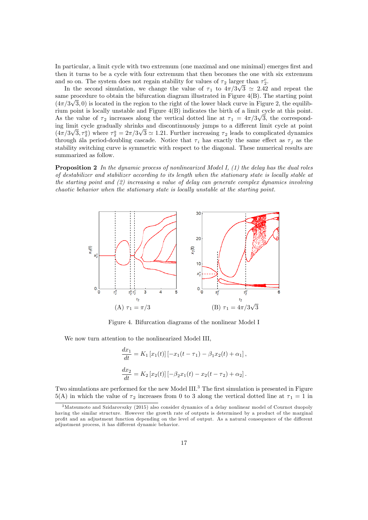In particular, a limit cycle with two extremum (one maximal and one minimal) emerges first and then it turns to be a cycle with four extremum that then becomes the one with six extremum and so on. The system does not regain stability for values of  $\tau_2$  larger than  $\tau_2^c$ .

In the second simulation, we change the value of  $\tau_1$  to  $4\pi/3\sqrt{3} \approx 2.42$  and repeat the same procedure to obtain the bifurcation diagram illustrated in Figure 4(B). The starting point  $(4\pi/3\sqrt{3}, 0)$  is located in the region to the right of the lower black curve in Figure 2, the equilibrium point is locally unstable and Figure 4(B) indicates the birth of a limit cycle at this point. As the value of  $\tau_2$  increases along the vertical dotted line at  $\tau_1 = 4\pi/3\sqrt{3}$ , the corresponding limit cycle gradually shrinks and discontinuously jumps to a different limit cycle at point  $(4\pi/3\sqrt{3}, \tau_2^a)$  where  $\tau_2^a = 2\pi/3\sqrt{3} \approx 1.21$ . Further increasing  $\tau_2$  leads to complicated dynamics through all period-doubling cascade. Notice that  $\tau_i$  has exactly the same effect as  $\tau_j$  as the stability switching curve is symmetric with respect to the diagonal. These numerical results are summarized as follow.

**Proposition 2** In the dynamic process of nonlinearized Model I,  $(1)$  the delay has the dual roles of destabilizer and stabilizer according to its length when the stationary state is locally stable at the starting point and (2) increasing a value of delay can generate complex dynamics involving chaotic behavior when the stationary state is locally unstable at the starting point.



Figure 4. Bifurcation diagrams of the nonlinear Model I

We now turn attention to the nonlinearized Model III,

$$
\frac{dx_1}{dt} = K_1 [x_1(t)] [-x_1(t - \tau_1) - \beta_1 x_2(t) + \alpha_1],
$$
  

$$
\frac{dx_2}{dt} = K_2 [x_2(t)] [-\beta_2 x_1(t) - x_2(t - \tau_2) + \alpha_2].
$$

Two simulations are performed for the new Model III.<sup>3</sup> The first simulation is presented in Figure 5(A) in which the value of  $\tau_2$  increases from 0 to 3 along the vertical dotted line at  $\tau_1 = 1$  in

<sup>3</sup>Matsumoto and Szidarovszky (2015) also consider dynamics of a delay nonlinear model of Cournot duopoly having the similar structure. However the growth rate of outputs is determined by a product of the marginal profit and an adjustment function depending on the level of output. As a natural consequence of the different adjustment process, it has different dynamic behavior.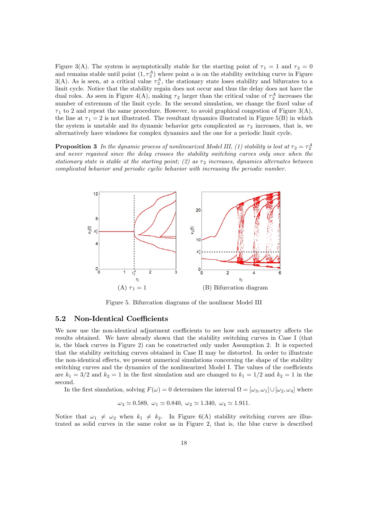Figure 3(A). The system is asymptotically stable for the starting point of  $\tau_1 = 1$  and  $\tau_2 = 0$ and remains stable until point  $(1, \tau_2^A)$  where point a is on the stability switching curve in Figure 3(A). As is seen, at a critical value  $\tau_2^A$ , the stationary state loses stability and bifurcates to a limit cycle. Notice that the stability regain does not occur and thus the delay does not have the dual roles. As seen in Figure 4(A), making  $\tau_2$  larger than the critical value of  $\tau_2^A$  increases the number of extremum of the limit cycle. In the second simulation, we change the fixed value of  $\tau_1$  to 2 and repeat the same procedure. However, to avoid graphical congestion of Figure 3(A), the line at  $\tau_1 = 2$  is not illustrated. The resultant dynamics illustrated in Figure 5(B) in which the system is unstable and its dynamic behavior gets complicated as  $\tau_2$  increases, that is, we alternatively have windows for complex dynamics and the one for a periodic limit cycle.

**Proposition 3** In the dynamic process of nonlinearized Model III, (1) stability is lost at  $\tau_2 = \tau_2^A$ and never regained since the delay crosses the stability switching curves only once when the stationary state is stable at the starting point; (2) as  $\tau_2$  increases, dynamics alternates between complicated behavior and periodic cyclic behavior with increasing the periodic number.



Figure 5. Bifurcation diagrams of the nonlinear Model III

#### 5.2 Non-Identical Coefficients

We now use the non-identical adjustment coefficients to see how such asymmetry affects the results obtained. We have already shown that the stability switching curves in Case I (that is, the black curves in Figure 2) can be constructed only under Assumption 2. It is expected that the stability switching curves obtained in Case II may be distorted. In order to illustrate the non-identical effects, we present numerical simulations concerning the shape of the stability switching curves and the dynamics of the nonlinearized Model I. The values of the coefficients are  $k_1 = 3/2$  and  $k_2 = 1$  in the first simulation and are changed to  $k_1 = 1/2$  and  $k_2 = 1$  in the second.

In the first simulation, solving  $F(\omega) = 0$  determines the interval  $\Omega = [\omega_3, \omega_1] \cup [\omega_2, \omega_4]$  where

$$
\omega_3 \simeq 0.589, \ \omega_1 \simeq 0.840, \ \omega_2 \simeq 1.340, \ \omega_4 \simeq 1.911.
$$

Notice that  $\omega_1 \neq \omega_2$  when  $k_1 \neq k_2$ . In Figure 6(A) stability switching curves are illustrated as solid curves in the same color as in Figure 2, that is, the blue curve is described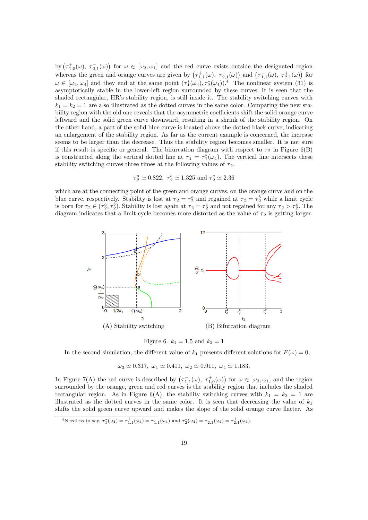by  $(\tau_{1,0}^+(\omega), \tau_{2,1}^-(\omega))$  for  $\omega \in [\omega_3, \omega_1]$  and the red curve exists outside the designated region whereas the green and orange curves are given by  $(\tau_{1,1}^+(\omega), \tau_{2,1}^-(\omega))$  and  $(\tau_{1,1}^-(\omega), \tau_{2,1}^+(\omega))$  for  $\omega \in [\omega_2, \omega_4]$  and they end at the same point  $(\tau_1^*(\omega_4), \tau_2^*(\omega_4))$ .<sup>4</sup> The nonlinear system (31) is asymptotically stable in the lower-left region surrounded by these curves. It is seen that the shaded rectangular, HR's stability region, is still inside it. The stability switching curves with  $k_1 = k_2 = 1$  are also illustrated as the dotted curves in the same color. Comparing the new stability region with the old one reveals that the asymmetric coefficients shift the solid orange curve leftward and the solid green curve downward, resulting in a shrink of the stability region. On the other hand, a part of the solid blue curve is located above the dotted black curve, indicating an enlargement of the stability region. As far as the current example is concerned, the increase seems to be larger than the decrease. Thus the stability region becomes smaller. It is not sure if this result is specific or general. The bifurcation diagram with respect to  $\tau_2$  in Figure 6(B) is constructed along the vertical dotted line at  $\tau_1 = \tau_1^*(\omega_4)$ . The vertical line intersects these stability switching curves three times at the following values of  $\tau_2$ ,

$$
\tau_2^a \simeq 0.822, \ \tau_2^b \simeq 1.325 \ \text{and} \ \tau_2^c \simeq 2.36
$$

which are at the connecting point of the green and orange curves, on the orange curve and on the blue curve, respectively. Stability is lost at  $\tau_2 = \tau_2^a$  and regained at  $\tau_2 = \tau_2^b$  while a limit cycle is born for  $\tau_2 \in (\tau_2^a, \tau_2^b)$ . Stability is lost again at  $\tau_2 = \tau_2^c$  and not regained for any  $\tau_2 > \tau_2^c$ . The diagram indicates that a limit cycle becomes more distorted as the value of  $\tau_2$  is getting larger.





In the second simulation, the different value of  $k_1$  presents different solutions for  $F(\omega) = 0$ ,

 $\omega_3 \simeq 0.317, \ \omega_1 \simeq 0.411, \ \omega_2 \simeq 0.911, \ \omega_4 \simeq 1.183.$ 

In Figure 7(A) the red curve is described by  $(\tau_{1,1}(\omega), \tau_{1,0}^+(\omega))$  for  $\omega \in [\omega_3, \omega_1]$  and the region surrounded by the orange, green and red curves is the stability region that includes the shaded rectangular region. As in Figure 6(A), the stability switching curves with  $k_1 = k_2 = 1$  are illustrated as the dotted curves in the same color. It is seen that decreasing the value of  $k_1$ shifts the solid green curve upward and makes the slope of the solid orange curve flatter. As

<sup>4</sup>Needless to say,  $\tau_1^*(\omega_4) = \tau_{1,1}^+(\omega_4) = \tau_{1,1}^-(\omega_4)$  and  $\tau_2^*(\omega_4) = \tau_{2,1}^-(\omega_4) = \tau_{2,1}^+(\omega_4)$ .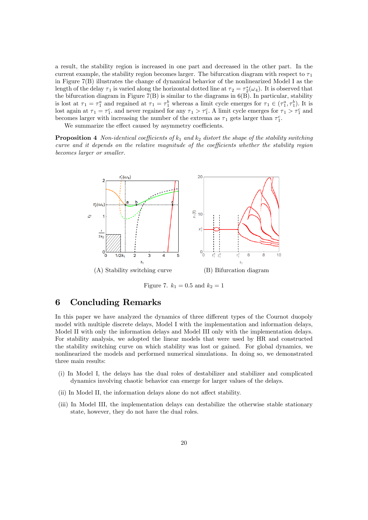a result, the stability region is increased in one part and decreased in the other part. In the current example, the stability region becomes larger. The bifurcation diagram with respect to  $\tau_1$ in Figure 7(B) illustrates the change of dynamical behavior of the nonlinearized Model I as the length of the delay  $\tau_1$  is varied along the horizontal dotted line at  $\tau_2 = \tau_2^*(\omega_4)$ . It is observed that the bifurcation diagram in Figure 7(B) is similar to the diagrams in 6(B). In particular, stability is lost at  $\tau_1 = \tau_1^a$  and regained at  $\tau_1 = \tau_1^b$  whereas a limit cycle emerges for  $\tau_1 \in (\tau_1^a, \tau_1^b)$ . It is lost again at  $\tau_1 = \tau_1^c$ , and never regained for any  $\tau_1 > \tau_1^c$ . A limit cycle emerges for  $\tau_1 > \tau_1^c$  and becomes larger with increasing the number of the extrema as  $\tau_1$  gets larger than  $\tau_1^c$ .

We summarize the effect caused by asymmetry coefficients.

**Proposition 4** Non-identical coefficients of  $k_1$  and  $k_2$  distort the shape of the stability switching curve and it depends on the relative magnitude of the coefficients whether the stability region becomes larger or smaller.



Figure 7.  $k_1 = 0.5$  and  $k_2 = 1$ 

## 6 Concluding Remarks

In this paper we have analyzed the dynamics of three different types of the Cournot duopoly model with multiple discrete delays, Model I with the implementation and information delays, Model II with only the information delays and Model III only with the implementation delays. For stability analysis, we adopted the linear models that were used by HR and constructed the stability switching curve on which stability was lost or gained. For global dynamics, we nonlinearized the models and performed numerical simulations. In doing so, we demonstrated three main results:

- (i) In Model I, the delays has the dual roles of destabilizer and stabilizer and complicated dynamics involving chaotic behavior can emerge for larger values of the delays.
- (ii) In Model II, the information delays alone do not affect stability.
- (iii) In Model III, the implementation delays can destabilize the otherwise stable stationary state, however, they do not have the dual roles.